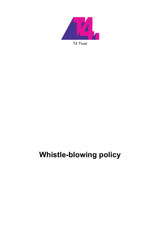

# **Whistle-blowing policy**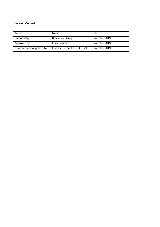#### **Version Control**

| Action                   | Name                        | Date          |
|--------------------------|-----------------------------|---------------|
| Prepared by              | <b>Kimberley Bailey</b>     | November 2019 |
| Approved by              | Lucy Bowman                 | November 2019 |
| Reviewed and approved by | Finance Committee, T4 Trust | November 2019 |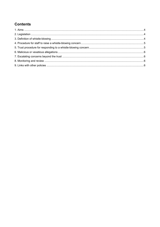## **Contents**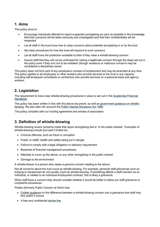## **1. Aims**

This policy aims to:

- Encourage individuals affected to report suspected wrongdoing as soon as possible in the knowledge that their concerns will be taken seriously and investigated and that their confidentiality will be respected
- Let all staff in the trust know how to raise concerns about potential wrongdoing in or by the trust
- Set clear procedures for how the trust will respond to such concerns
- Let all staff know the protection available to them if they raise a whistle-blowing concern
- Assure staff that they will not be victimised for raising a legitimate concern through the steps set out in the policy even if they turn out to be mistaken (though vexatious or malicious concerns may be considered a disciplinary issue)

This policy does not form part of any employee's contract of employment and may be amended at any time. The policy applies to all employees or other workers who provide services to the trust in any capacity including self-employed consultants or contractors who provide services on a personal basis and agency workers.

## **2. Legislation**

The requirement to have clear whistle-blowing procedures in place is set out in the Academies Financial Handbook.

This policy has been written in line with the above document, as well as government guidance on whistleblowing. We also take into account the Public Interest Disclosure Act 1998.

This policy complies with our funding agreement and articles of association.

## **3. Definition of whistle-blowing**

Whistle-blowing covers concerns made that report wrongdoing that is "in the public interest". Examples of whistle-blowing include (but aren't limited to):

- Criminal offences, such as fraud or corruption
- Pupils' or staffs' health and safety being put in danger
- Failure to comply with a legal obligation or statutory requirement
- Breaches of financial management procedures
- Attempts to cover up the above, or any other wrongdoing in the public interest
- Damage to the environment

A whistle-blower is a person who raises a genuine concern relating to the above.

Not all concerns about the trust count as whistle-blowing. For example, personal staff grievances such as bullying or harassment do not usually count as whistle-blowing. If something affects a staff member as an individual, or relates to an individual employment contract, this is likely a grievance.

When staff have a concern they should consider whether it would be better to follow our staff grievance or complaints procedures.

Protect (formerly Public Concern at Work) has:

- Further guidance on the difference between a whistle-blowing concern and a grievance that staff may find useful if unsure
- A free and confidential advice line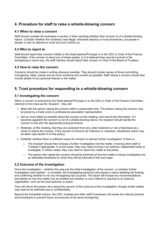## **4. Procedure for staff to raise a whistle-blowing concern**

#### **4.1 When to raise a concern**

Staff should consider the examples in section 3 when deciding whether their concern is of a whistle-blowing nature. Consider whether the incident(s) was illegal, breached statutory or trust procedures, put people in danger or was an attempt to cover any such activity up.

#### **4.2 Who to report to**

Staff should report their concern initially to the Head teacher/Principal or to the CEO or Chair of the Finance Committee. If the concern is about any of these people, or it is believed they may be involved in the wrongdoing in some way, the staff member should report their concern to Chair of the Board of Trustees.

#### **4.3 How to raise the concern**

Concerns should be made in writing wherever possible. They should include names of those committing wrongdoing, dates, places and as much evidence and context as possible. Staff raising a concern should also include details of any personal interest in the matter.

## **5. Trust procedure for responding to a whistle-blowing concern**

#### **5.1 Investigating the concern**

When a concern is received by the Head teacher/Principal or to the CEO or Chair of the Finance Committee referred to from here as the 'recipient' - they will:

- Meet with the person raising the concern within a reasonable time. The person raising the concern may be joined by a trade union or professional association representative
- Get as much detail as possible about the concern at this meeting, and record the information. If it becomes apparent the concern is not of a whistle-blowing nature, the recipient should handle the concern in line with the appropriate policy/procedure
- Reiterate, at this meeting, that they are protected from any unfair treatment or risk of dismissal as a result of raising the concern. If the concern is found to be malicious or vexatious, disciplinary action may be taken (see section 6 of this policy)
- Establish whether there is sufficient cause for concern to warrant further investigation. If there is:
	- The recipient should then arrange a further investigation into the matter, involving other staff or Trustees if appropriate. In some cases, they may need to bring in an external, independent body to investigate. In others cases, they may need to report the matter to the police
	- o The person who raised the concern should be informed of how the matter is being investigated and an estimated timeframe for when they will be informed of the next steps

#### **5.2 Outcome of the investigation**

Once the investigation – whether this was just the initial investigation of the concern, or whether further investigation was needed – is complete, the investigating person(s) will prepare a report detailing the findings and confirming whether or not any wrongdoing has occurred. The report will include any recommendations and details on how the matter can be rectified and whether or not a referral is required to an external organisation, such as the local authority or police.

They will inform the person who raised the concern of the outcome of the investigation, though certain details may need to be restricted due to confidentiality.

Beyond the immediate actions, the CEO, trustees and other staff if necessary will review the relevant policies and procedures to prevent future occurrences of the same wrongdoing.